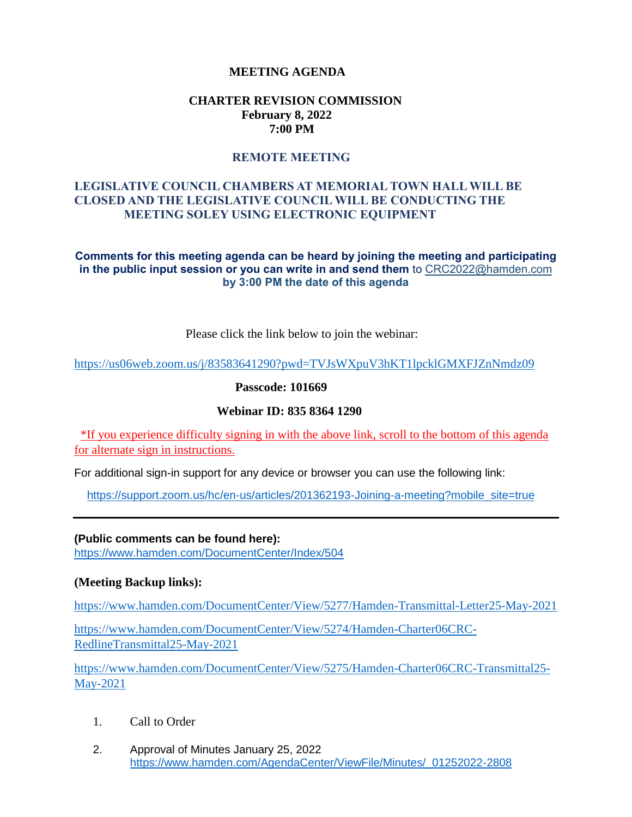# **MEETING AGENDA**

# **CHARTER REVISION COMMISSION February 8, 2022 7:00 PM**

## **REMOTE MEETING**

# **LEGISLATIVE COUNCIL CHAMBERS AT MEMORIAL TOWN HALL WILL BE CLOSED AND THE LEGISLATIVE COUNCIL WILL BE CONDUCTING THE MEETING SOLEY USING ELECTRONIC EQUIPMENT**

#### **Comments for this meeting agenda can be heard by joining the meeting and participating in the public input session or you can write in and send them** to CRC2022@hamden.com **by 3:00 PM the date of this agenda**

Please click the link below to join the webinar:

<https://us06web.zoom.us/j/83583641290?pwd=TVJsWXpuV3hKT1lpcklGMXFJZnNmdz09>

**Passcode: 101669**

## **Webinar ID: 835 8364 1290**

\*If you experience difficulty signing in with the above link, scroll to the bottom of this agenda for alternate sign in instructions.

For additional sign-in support for any device or browser you can use the following link:

[https://support.zoom.us/hc/en-us/articles/201362193-Joining-a-meeting?mobile\\_site=true](https://support.zoom.us/hc/en-us/articles/201362193-Joining-a-meeting?mobile_site=true)

**(Public comments can be found here):** <https://www.hamden.com/DocumentCenter/Index/504>

## **(Meeting Backup links):**

<https://www.hamden.com/DocumentCenter/View/5277/Hamden-Transmittal-Letter25-May-2021>

[https://www.hamden.com/DocumentCenter/View/5274/Hamden-Charter06CRC-](https://www.hamden.com/DocumentCenter/View/5274/Hamden-Charter06CRC-RedlineTransmittal25-May-2021)[RedlineTransmittal25-May-2021](https://www.hamden.com/DocumentCenter/View/5274/Hamden-Charter06CRC-RedlineTransmittal25-May-2021)

[https://www.hamden.com/DocumentCenter/View/5275/Hamden-Charter06CRC-Transmittal25-](https://www.hamden.com/DocumentCenter/View/5275/Hamden-Charter06CRC-Transmittal25-May-2021) [May-2021](https://www.hamden.com/DocumentCenter/View/5275/Hamden-Charter06CRC-Transmittal25-May-2021)

- 1. Call to Order
- 2. Approval of Minutes January 25, 2022 [https://www.hamden.com/AgendaCenter/ViewFile/Minutes/\\_01252022-2808](https://www.hamden.com/AgendaCenter/ViewFile/Minutes/_01252022-2808)